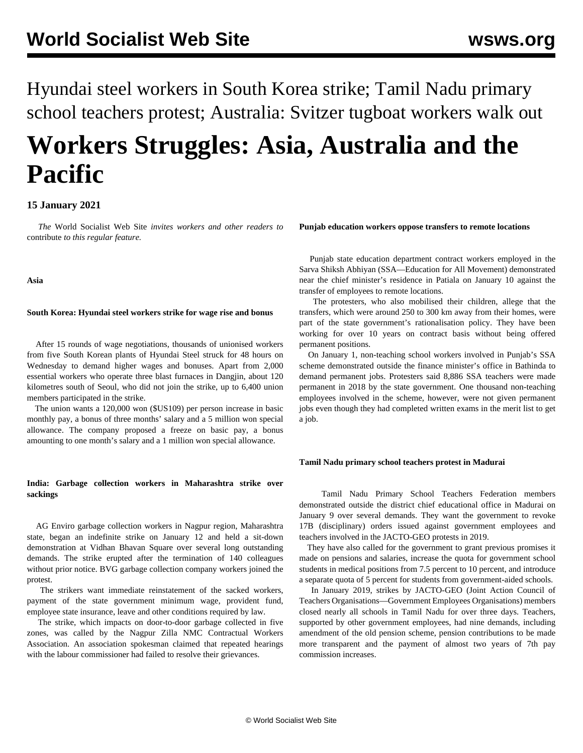Hyundai steel workers in South Korea strike; Tamil Nadu primary school teachers protest; Australia: Svitzer tugboat workers walk out

# **Workers Struggles: Asia, Australia and the Pacific**

# **15 January 2021**

 *The* World Socialist Web Site *invites workers and other readers to* [contribute](/wsws/dd-formmailer/dd-formmailer.php) *to this regular feature.*

**Asia**

### **South Korea: Hyundai steel workers strike for wage rise and bonus**

 After 15 rounds of wage negotiations, thousands of unionised workers from five South Korean plants of Hyundai Steel struck for 48 hours on Wednesday to demand higher wages and bonuses. Apart from 2,000 essential workers who operate three blast furnaces in Dangjin, about 120 kilometres south of Seoul, who did not join the strike, up to 6,400 union members participated in the strike.

 The union wants a 120,000 won (\$US109) per person increase in basic monthly pay, a bonus of three months' salary and a 5 million won special allowance. The company proposed a freeze on basic pay, a bonus amounting to one month's salary and a 1 million won special allowance.

# **India: Garbage collection workers in Maharashtra strike over sackings**

 AG Enviro garbage collection workers in Nagpur region, Maharashtra state, began an indefinite strike on January 12 and held a sit-down demonstration at Vidhan Bhavan Square over several long outstanding demands. The strike erupted after the termination of 140 colleagues without prior notice. BVG garbage collection company workers joined the protest.

 The strikers want immediate reinstatement of the sacked workers, payment of the state government minimum wage, provident fund, employee state insurance, leave and other conditions required by law.

 The strike, which impacts on door-to-door garbage collected in five zones, was called by the Nagpur Zilla NMC Contractual Workers Association. An association spokesman claimed that repeated hearings with the labour commissioner had failed to resolve their grievances.

**Punjab education workers oppose transfers to remote locations**

 Punjab state education department contract workers employed in the Sarva Shiksh Abhiyan (SSA—Education for All Movement) demonstrated near the chief minister's residence in Patiala on January 10 against the transfer of employees to remote locations.

 The protesters, who also mobilised their children, allege that the transfers, which were around 250 to 300 km away from their homes, were part of the state government's rationalisation policy. They have been working for over 10 years on contract basis without being offered permanent positions.

 On January 1, non-teaching school workers involved in Punjab's SSA scheme demonstrated outside the finance minister's office in Bathinda to demand permanent jobs. Protesters said 8,886 SSA teachers were made permanent in 2018 by the state government. One thousand non-teaching employees involved in the scheme, however, were not given permanent jobs even though they had completed written exams in the merit list to get a job.

#### **Tamil Nadu primary school teachers protest in Madurai**

 Tamil Nadu Primary School Teachers Federation members demonstrated outside the district chief educational office in Madurai on January 9 over several demands. They want the government to revoke 17B (disciplinary) orders issued against government employees and teachers involved in the JACTO-GEO protests in 2019.

 They have also called for the government to grant previous promises it made on pensions and salaries, increase the quota for government school students in medical positions from 7.5 percent to 10 percent, and introduce a separate quota of 5 percent for students from government-aided schools.

 In January 2019, strikes by JACTO-GEO (Joint Action Council of Teachers Organisations—Government Employees Organisations) members closed nearly all schools in Tamil Nadu for over three days. Teachers, supported by other government employees, had nine demands, including amendment of the old pension scheme, pension contributions to be made more transparent and the payment of almost two years of 7th pay commission increases.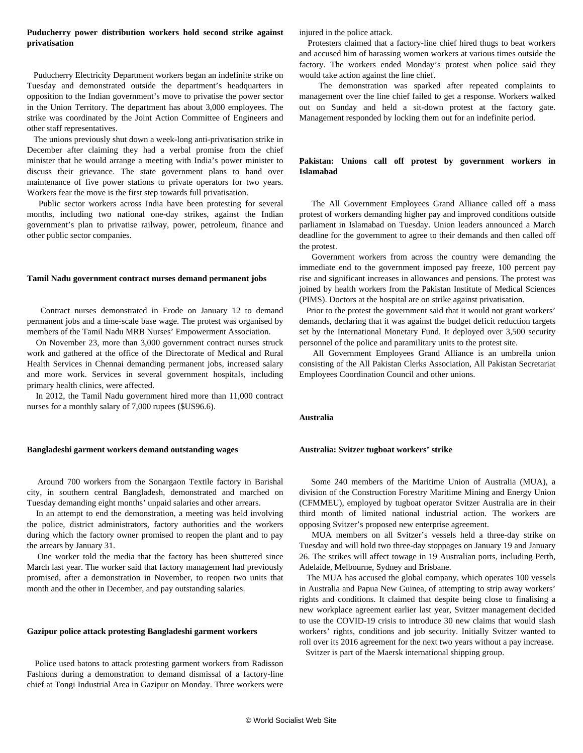# **Puducherry power distribution workers hold second strike against privatisation**

 Puducherry Electricity Department workers began an indefinite strike on Tuesday and demonstrated outside the department's headquarters in opposition to the Indian government's move to privatise the power sector in the Union Territory. The department has about 3,000 employees. The strike was coordinated by the Joint Action Committee of Engineers and other staff representatives.

 The unions previously shut down a week-long anti-privatisation strike in December after claiming they had a verbal promise from the chief minister that he would arrange a meeting with India's power minister to discuss their grievance. The state government plans to hand over maintenance of five power stations to private operators for two years. Workers fear the move is the first step towards full privatisation.

 Public sector workers across India have been protesting for several months, including two national one-day strikes, against the Indian government's plan to privatise railway, power, petroleum, finance and other public sector companies.

#### **Tamil Nadu government contract nurses demand permanent jobs**

 Contract nurses demonstrated in Erode on January 12 to demand permanent jobs and a time-scale base wage. The protest was organised by members of the Tamil Nadu MRB Nurses' Empowerment Association.

 On November 23, more than 3,000 government contract nurses struck work and gathered at the office of the Directorate of Medical and Rural Health Services in Chennai demanding permanent jobs, increased salary and more work. Services in several government hospitals, including primary health clinics, were affected.

 In 2012, the Tamil Nadu government hired more than 11,000 contract nurses for a monthly salary of 7,000 rupees (\$US96.6).

#### **Bangladeshi garment workers demand outstanding wages**

 Around 700 workers from the Sonargaon Textile factory in Barishal city, in southern central Bangladesh, demonstrated and marched on Tuesday demanding eight months' unpaid salaries and other arrears.

 In an attempt to end the demonstration, a meeting was held involving the police, district administrators, factory authorities and the workers during which the factory owner promised to reopen the plant and to pay the arrears by January 31.

 One worker told the media that the factory has been shuttered since March last year. The worker said that factory management had previously promised, after a demonstration in November, to reopen two units that month and the other in December, and pay outstanding salaries.

#### **Gazipur police attack protesting Bangladeshi garment workers**

 Police used batons to attack protesting garment workers from Radisson Fashions during a demonstration to demand dismissal of a factory-line chief at Tongi Industrial Area in Gazipur on Monday. Three workers were injured in the police attack.

 Protesters claimed that a factory-line chief hired thugs to beat workers and accused him of harassing women workers at various times outside the factory. The workers ended Monday's protest when police said they would take action against the line chief.

 The demonstration was sparked after repeated complaints to management over the line chief failed to get a response. Workers walked out on Sunday and held a sit-down protest at the factory gate. Management responded by locking them out for an indefinite period.

## **Pakistan: Unions call off protest by government workers in Islamabad**

 The All Government Employees Grand Alliance called off a mass protest of workers demanding higher pay and improved conditions outside parliament in Islamabad on Tuesday. Union leaders announced a March deadline for the government to agree to their demands and then called off the protest.

 Government workers from across the country were demanding the immediate end to the government imposed pay freeze, 100 percent pay rise and significant increases in allowances and pensions. The protest was joined by health workers from the Pakistan Institute of Medical Sciences (PIMS). Doctors at the hospital are on strike against privatisation.

 Prior to the protest the government said that it would not grant workers' demands, declaring that it was against the budget deficit reduction targets set by the International Monetary Fund. It deployed over 3,500 security personnel of the police and paramilitary units to the protest site.

 All Government Employees Grand Alliance is an umbrella union consisting of the All Pakistan Clerks Association, All Pakistan Secretariat Employees Coordination Council and other unions.

## **Australia**

### **Australia: Svitzer tugboat workers' strike**

 Some 240 members of the Maritime Union of Australia (MUA), a division of the Construction Forestry Maritime Mining and Energy Union (CFMMEU), employed by tugboat operator Svitzer Australia are in their third month of limited national industrial action. The workers are opposing Svitzer's proposed new enterprise agreement.

 MUA members on all Svitzer's vessels held a three-day strike on Tuesday and will hold two three-day stoppages on January 19 and January 26. The strikes will affect towage in 19 Australian ports, including Perth, Adelaide, Melbourne, Sydney and Brisbane.

 The MUA has accused the global company, which operates 100 vessels in Australia and Papua New Guinea, of attempting to strip away workers' rights and conditions. It claimed that despite being close to finalising a new workplace agreement earlier last year, Svitzer management decided to use the COVID-19 crisis to introduce 30 new claims that would slash workers' rights, conditions and job security. Initially Svitzer wanted to roll over its 2016 agreement for the next two years without a pay increase.

Svitzer is part of the Maersk international shipping group.